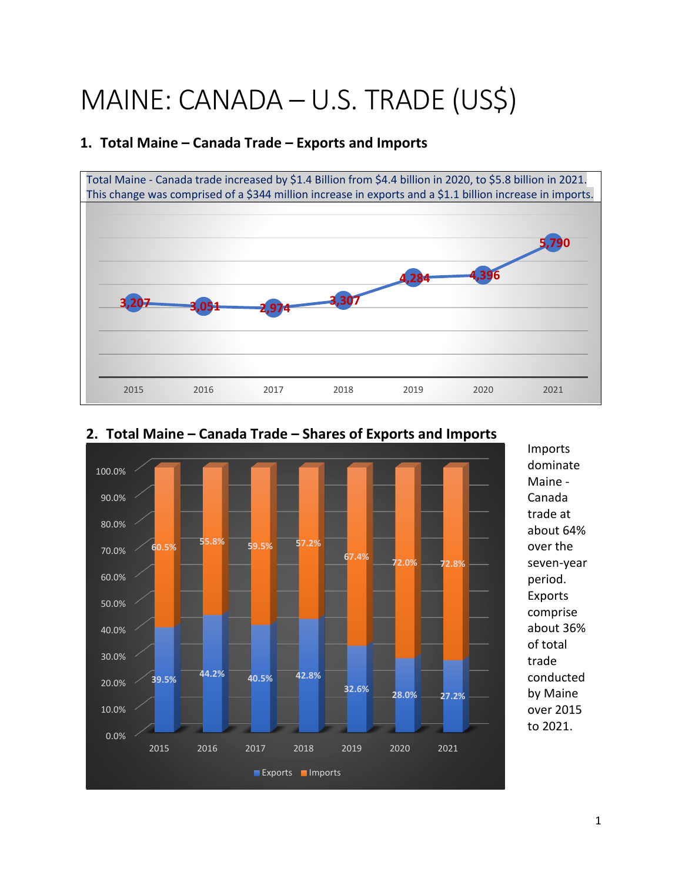## MAINE: CANADA – U.S. TRADE (US\$)

**1. Total Maine – Canada Trade – Exports and Imports**

# Total Maine - Canada trade increased by \$1.4 Billion from \$4.4 billion in 2020, to \$5.8 billion in 2021. This change was comprised of a \$344 million increase in exports and a \$1.1 billion increase in imports. **3,207 3,051 2,974 3,307 4,284 4,396 5,790**  2015 2016 2017 2018 2019 2020 2021



### **2. Total Maine – Canada Trade – Shares of Exports and Imports**

Imports dominate Maine - Canada trade at about 64% over the seven-year period. Exports comprise about 36% of total trade conducted by Maine over 2015 to 2021.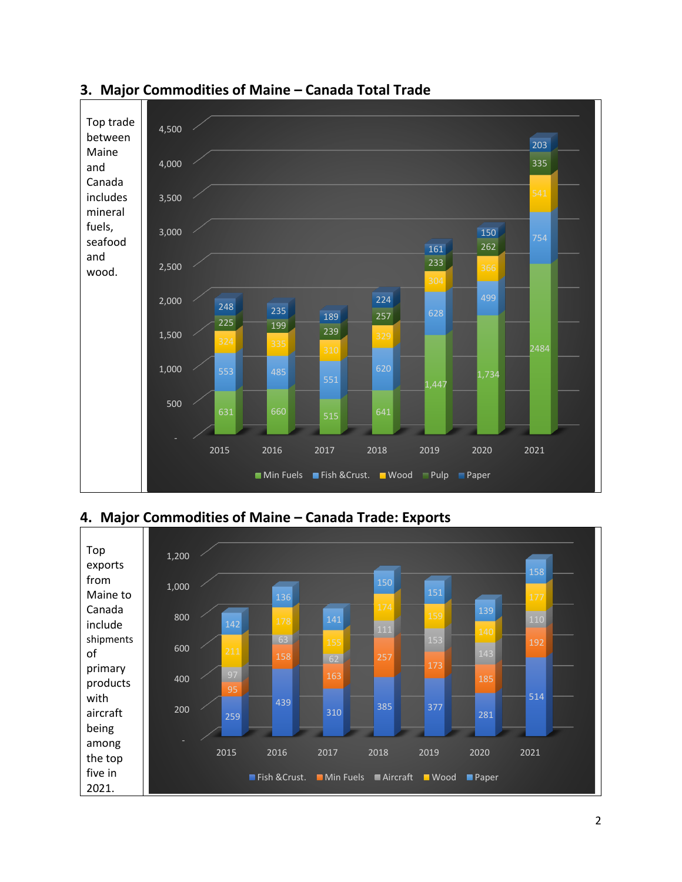

#### **3. Major Commodities of Maine – Canada Total Trade**

**4. Major Commodities of Maine – Canada Trade: Exports**

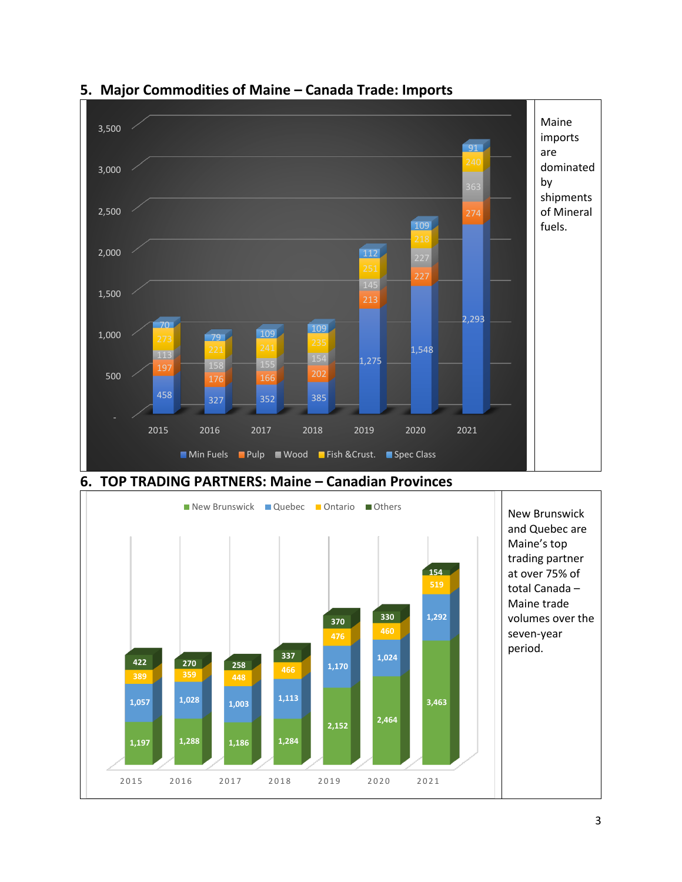

**2,152 2,464** 

2015 2016 2017 2018 2019 2020 2021

**1,057** 1,028 1,003 <sup>1,113</sup> 1,003 3,463

**1,197 1,288 1,186 1,284** 

**389 359 448** 

#### **5. Major Commodities of Maine – Canada Trade: Imports**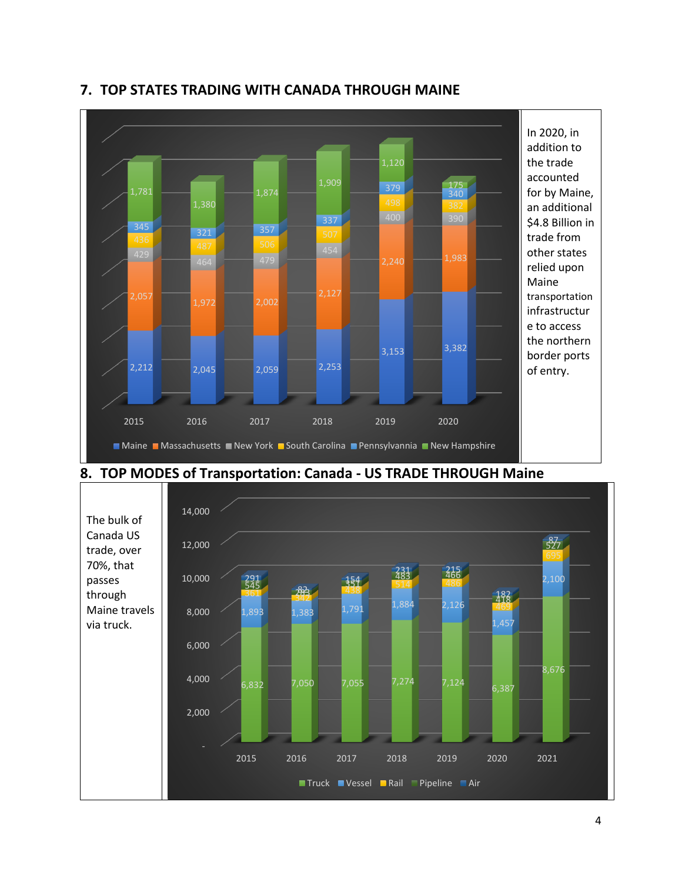

#### **7. TOP STATES TRADING WITH CANADA THROUGH MAINE**



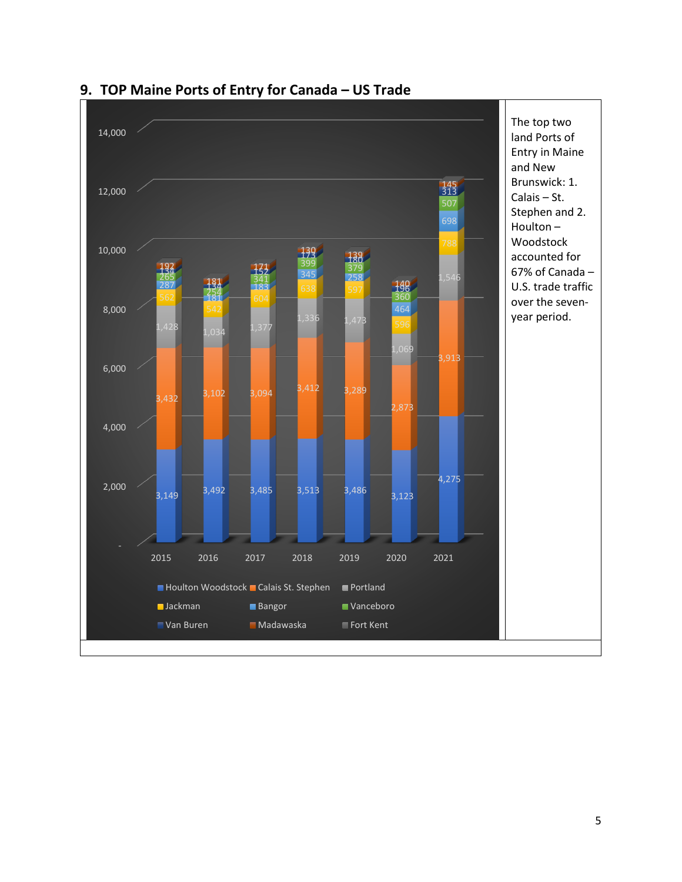

#### **9. TOP Maine Ports of Entry for Canada – US Trade**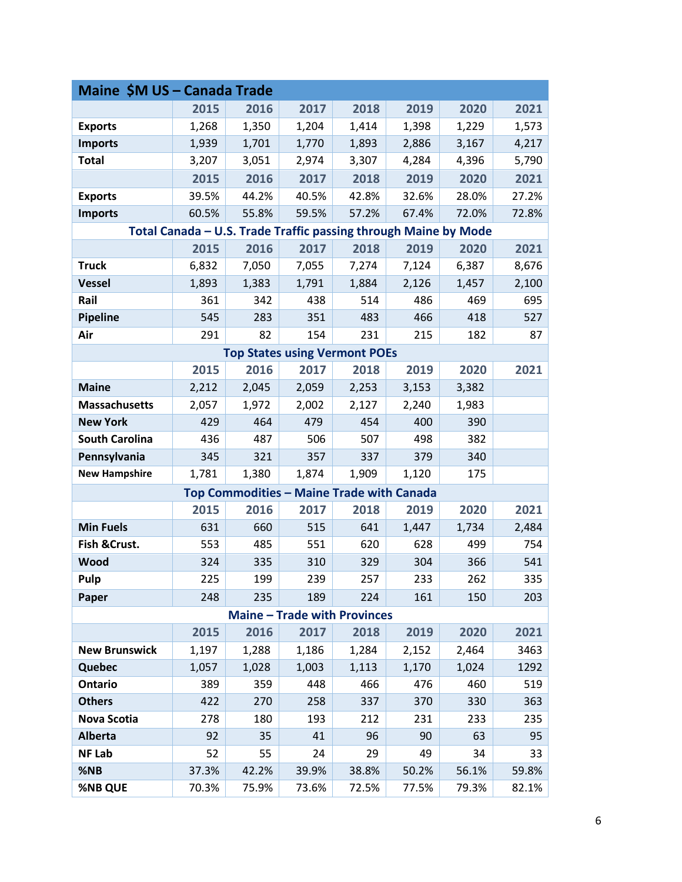| Maine \$M US - Canada Trade                                     |       |       |                                           |       |       |       |       |  |  |  |  |
|-----------------------------------------------------------------|-------|-------|-------------------------------------------|-------|-------|-------|-------|--|--|--|--|
|                                                                 | 2015  | 2016  | 2017                                      | 2018  | 2019  | 2020  | 2021  |  |  |  |  |
| <b>Exports</b>                                                  | 1,268 | 1,350 | 1,204                                     | 1,414 | 1,398 | 1,229 | 1,573 |  |  |  |  |
| <b>Imports</b>                                                  | 1,939 | 1,701 | 1,770                                     | 1,893 | 2,886 | 3,167 | 4,217 |  |  |  |  |
| <b>Total</b>                                                    | 3,207 | 3,051 | 2,974                                     | 3,307 | 4,284 | 4,396 | 5,790 |  |  |  |  |
|                                                                 | 2015  | 2016  | 2017                                      | 2018  | 2019  | 2020  | 2021  |  |  |  |  |
| <b>Exports</b>                                                  | 39.5% | 44.2% | 40.5%                                     | 42.8% | 32.6% | 28.0% | 27.2% |  |  |  |  |
| <b>Imports</b>                                                  | 60.5% | 55.8% | 59.5%                                     | 57.2% | 67.4% | 72.0% | 72.8% |  |  |  |  |
| Total Canada - U.S. Trade Traffic passing through Maine by Mode |       |       |                                           |       |       |       |       |  |  |  |  |
|                                                                 | 2015  | 2016  | 2017                                      | 2018  | 2019  | 2020  | 2021  |  |  |  |  |
| <b>Truck</b>                                                    | 6,832 | 7,050 | 7,055                                     | 7,274 | 7,124 | 6,387 | 8,676 |  |  |  |  |
| <b>Vessel</b>                                                   | 1,893 | 1,383 | 1,791                                     | 1,884 | 2,126 | 1,457 | 2,100 |  |  |  |  |
| Rail                                                            | 361   | 342   | 438                                       | 514   | 486   | 469   | 695   |  |  |  |  |
| Pipeline                                                        | 545   | 283   | 351                                       | 483   | 466   | 418   | 527   |  |  |  |  |
| Air                                                             | 291   | 82    | 154                                       | 231   | 215   | 182   | 87    |  |  |  |  |
| <b>Top States using Vermont POEs</b>                            |       |       |                                           |       |       |       |       |  |  |  |  |
|                                                                 | 2015  | 2016  | 2017                                      | 2018  | 2019  | 2020  | 2021  |  |  |  |  |
| <b>Maine</b>                                                    | 2,212 | 2,045 | 2,059                                     | 2,253 | 3,153 | 3,382 |       |  |  |  |  |
| <b>Massachusetts</b>                                            | 2,057 | 1,972 | 2,002                                     | 2,127 | 2,240 | 1,983 |       |  |  |  |  |
| <b>New York</b>                                                 | 429   | 464   | 479                                       | 454   | 400   | 390   |       |  |  |  |  |
| <b>South Carolina</b>                                           | 436   | 487   | 506                                       | 507   | 498   | 382   |       |  |  |  |  |
| Pennsylvania                                                    | 345   | 321   | 357                                       | 337   | 379   | 340   |       |  |  |  |  |
| <b>New Hampshire</b>                                            | 1,781 | 1,380 | 1,874                                     | 1,909 | 1,120 | 175   |       |  |  |  |  |
|                                                                 |       |       | Top Commodities - Maine Trade with Canada |       |       |       |       |  |  |  |  |
|                                                                 | 2015  | 2016  | 2017                                      | 2018  | 2019  | 2020  | 2021  |  |  |  |  |
| <b>Min Fuels</b>                                                | 631   | 660   | 515                                       | 641   | 1,447 | 1,734 | 2,484 |  |  |  |  |
| Fish & Crust.                                                   | 553   | 485   | 551                                       | 620   | 628   | 499   | 754   |  |  |  |  |
| Wood                                                            | 324   | 335   | 310                                       | 329   | 304   | 366   | 541   |  |  |  |  |
| Pulp                                                            | 225   | 199   | 239                                       | 257   | 233   | 262   | 335   |  |  |  |  |
| Paper                                                           | 248   | 235   | 189                                       | 224   | 161   | 150   | 203   |  |  |  |  |
| <b>Maine - Trade with Provinces</b>                             |       |       |                                           |       |       |       |       |  |  |  |  |
|                                                                 | 2015  | 2016  | 2017                                      | 2018  | 2019  | 2020  | 2021  |  |  |  |  |
| <b>New Brunswick</b>                                            | 1,197 | 1,288 | 1,186                                     | 1,284 | 2,152 | 2,464 | 3463  |  |  |  |  |
| Quebec                                                          | 1,057 | 1,028 | 1,003                                     | 1,113 | 1,170 | 1,024 | 1292  |  |  |  |  |
| <b>Ontario</b>                                                  | 389   | 359   | 448                                       | 466   | 476   | 460   | 519   |  |  |  |  |
| <b>Others</b>                                                   | 422   | 270   | 258                                       | 337   | 370   | 330   | 363   |  |  |  |  |
| <b>Nova Scotia</b>                                              | 278   | 180   | 193                                       | 212   | 231   | 233   | 235   |  |  |  |  |
| <b>Alberta</b>                                                  | 92    | 35    | 41                                        | 96    | 90    | 63    | 95    |  |  |  |  |
| <b>NF Lab</b>                                                   | 52    | 55    | 24                                        | 29    | 49    | 34    | 33    |  |  |  |  |
| %NB                                                             | 37.3% | 42.2% | 39.9%                                     | 38.8% | 50.2% | 56.1% | 59.8% |  |  |  |  |
| %NB QUE                                                         | 70.3% | 75.9% | 73.6%                                     | 72.5% | 77.5% | 79.3% | 82.1% |  |  |  |  |